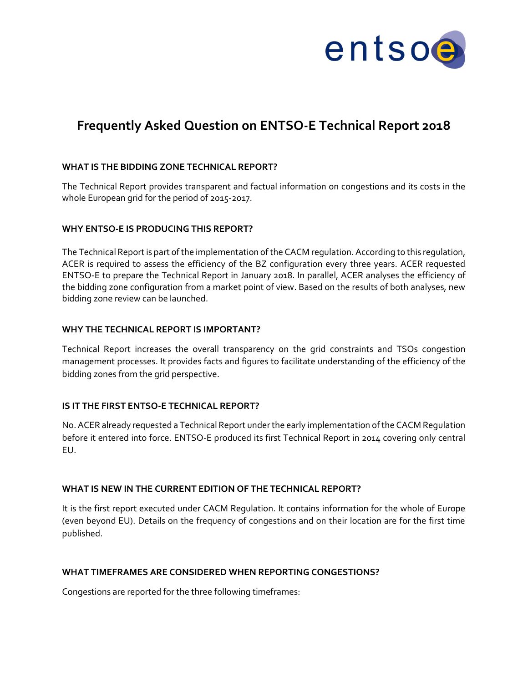

# **Frequently Asked Question on ENTSO-E Technical Report 2018**

## **WHAT IS THE BIDDING ZONE TECHNICAL REPORT?**

The Technical Report provides transparent and factual information on congestions and its costs in the whole European grid for the period of 2015-2017.

#### **WHY ENTSO-E IS PRODUCING THIS REPORT?**

The Technical Report is part of the implementation of the CACM regulation. According to this regulation, ACER is required to assess the efficiency of the BZ configuration every three years. ACER requested ENTSO-E to prepare the Technical Report in January 2018. In parallel, ACER analyses the efficiency of the bidding zone configuration from a market point of view. Based on the results of both analyses, new bidding zone review can be launched.

### **WHY THE TECHNICAL REPORT IS IMPORTANT?**

Technical Report increases the overall transparency on the grid constraints and TSOs congestion management processes. It provides facts and figures to facilitate understanding of the efficiency of the bidding zones from the grid perspective.

### **IS IT THE FIRST ENTSO-E TECHNICAL REPORT?**

No. ACER already requested a Technical Report under the early implementation of the CACM Regulation before it entered into force. ENTSO-E produced its first Technical Report in 2014 covering only central EU.

### **WHAT IS NEW IN THE CURRENT EDITION OF THE TECHNICAL REPORT?**

It is the first report executed under CACM Regulation. It contains information for the whole of Europe (even beyond EU). Details on the frequency of congestions and on their location are for the first time published.

### **WHAT TIMEFRAMES ARE CONSIDERED WHEN REPORTING CONGESTIONS?**

Congestions are reported for the three following timeframes: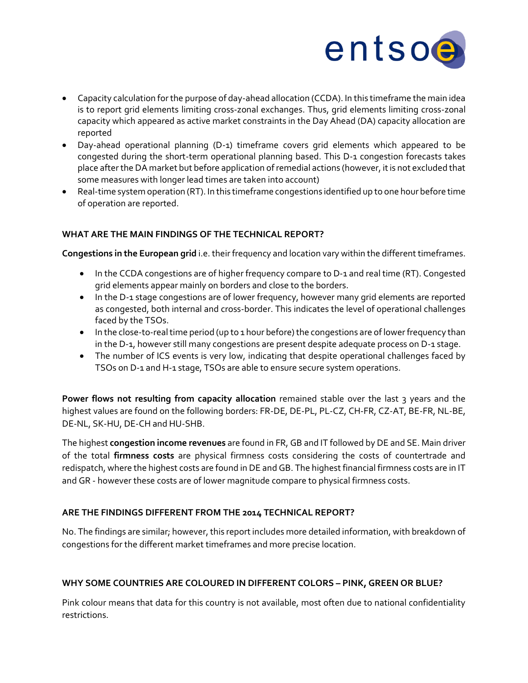

- Capacity calculation for the purpose of day-ahead allocation (CCDA). In this timeframe the main idea is to report grid elements limiting cross-zonal exchanges. Thus, grid elements limiting cross-zonal capacity which appeared as active market constraints in the Day Ahead (DA) capacity allocation are reported
- Day-ahead operational planning (D-1) timeframe covers grid elements which appeared to be congested during the short-term operational planning based. This D-1 congestion forecasts takes place after the DA market but before application of remedial actions (however, it is not excluded that some measures with longer lead times are taken into account)
- Real-time system operation (RT). In this timeframe congestions identified up to one hour before time of operation are reported.

## **WHAT ARE THE MAIN FINDINGS OF THE TECHNICAL REPORT?**

**Congestions in the European grid** i.e. their frequency and location vary within the different timeframes.

- In the CCDA congestions are of higher frequency compare to D-1 and real time (RT). Congested grid elements appear mainly on borders and close to the borders.
- In the D-1 stage congestions are of lower frequency, however many grid elements are reported as congested, both internal and cross-border. This indicates the level of operational challenges faced by the TSOs.
- In the close-to-real time period (up to 1 hour before) the congestions are of lower frequency than in the D-1, however still many congestions are present despite adequate process on D-1 stage.
- The number of ICS events is very low, indicating that despite operational challenges faced by TSOs on D-1 and H-1 stage, TSOs are able to ensure secure system operations.

Power flows not resulting from capacity allocation remained stable over the last 3 years and the highest values are found on the following borders: FR-DE, DE-PL, PL-CZ, CH-FR, CZ-AT, BE-FR, NL-BE, DE-NL, SK-HU, DE-CH and HU-SHB.

The highest **congestion income revenues** are found in FR, GB and IT followed by DE and SE. Main driver of the total **firmness costs** are physical firmness costs considering the costs of countertrade and redispatch, where the highest costs are found in DE and GB. The highest financial firmness costs are in IT and GR - however these costs are of lower magnitude compare to physical firmness costs.

## **ARE THE FINDINGS DIFFERENT FROM THE 2014 TECHNICAL REPORT?**

No. The findings are similar; however, this report includes more detailed information, with breakdown of congestions for the different market timeframes and more precise location.

## **WHY SOME COUNTRIES ARE COLOURED IN DIFFERENT COLORS – PINK, GREEN OR BLUE?**

Pink colour means that data for this country is not available, most often due to national confidentiality restrictions.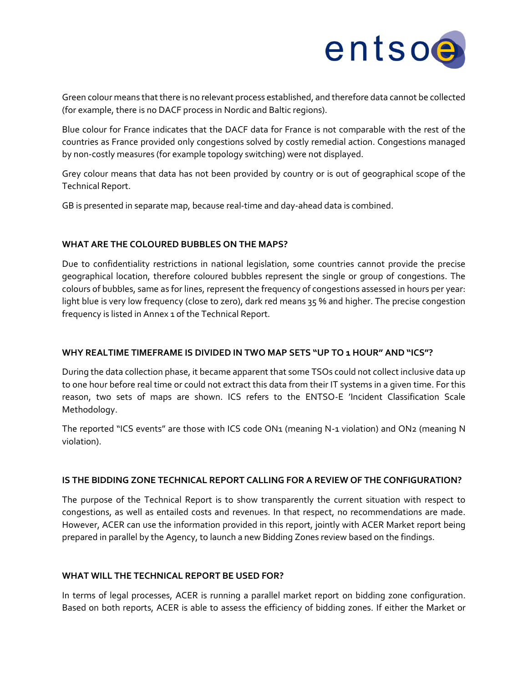

Green colour means that there is no relevant process established, and therefore data cannot be collected (for example, there is no DACF process in Nordic and Baltic regions).

Blue colour for France indicates that the DACF data for France is not comparable with the rest of the countries as France provided only congestions solved by costly remedial action. Congestions managed by non-costly measures (for example topology switching) were not displayed.

Grey colour means that data has not been provided by country or is out of geographical scope of the Technical Report.

GB is presented in separate map, because real-time and day-ahead data is combined.

## **WHAT ARE THE COLOURED BUBBLES ON THE MAPS?**

Due to confidentiality restrictions in national legislation, some countries cannot provide the precise geographical location, therefore coloured bubbles represent the single or group of congestions. The colours of bubbles, same as for lines, represent the frequency of congestions assessed in hours per year: light blue is very low frequency (close to zero), dark red means 35 % and higher. The precise congestion frequency is listed in Annex 1 of the Technical Report.

### **WHY REALTIME TIMEFRAME IS DIVIDED IN TWO MAP SETS "UP TO 1 HOUR" AND "ICS"?**

During the data collection phase, it became apparent that some TSOs could not collect inclusive data up to one hour before real time or could not extract this data from their IT systems in a given time. For this reason, two sets of maps are shown. ICS refers to the ENTSO-E 'Incident Classification Scale Methodology.

The reported "ICS events" are those with ICS code ON1 (meaning N-1 violation) and ON2 (meaning N violation).

## **IS THE BIDDING ZONE TECHNICAL REPORT CALLING FOR A REVIEW OF THE CONFIGURATION?**

The purpose of the Technical Report is to show transparently the current situation with respect to congestions, as well as entailed costs and revenues. In that respect, no recommendations are made. However, ACER can use the information provided in this report, jointly with ACER Market report being prepared in parallel by the Agency, to launch a new Bidding Zones review based on the findings.

### **WHAT WILL THE TECHNICAL REPORT BE USED FOR?**

In terms of legal processes, ACER is running a parallel market report on bidding zone configuration. Based on both reports, ACER is able to assess the efficiency of bidding zones. If either the Market or